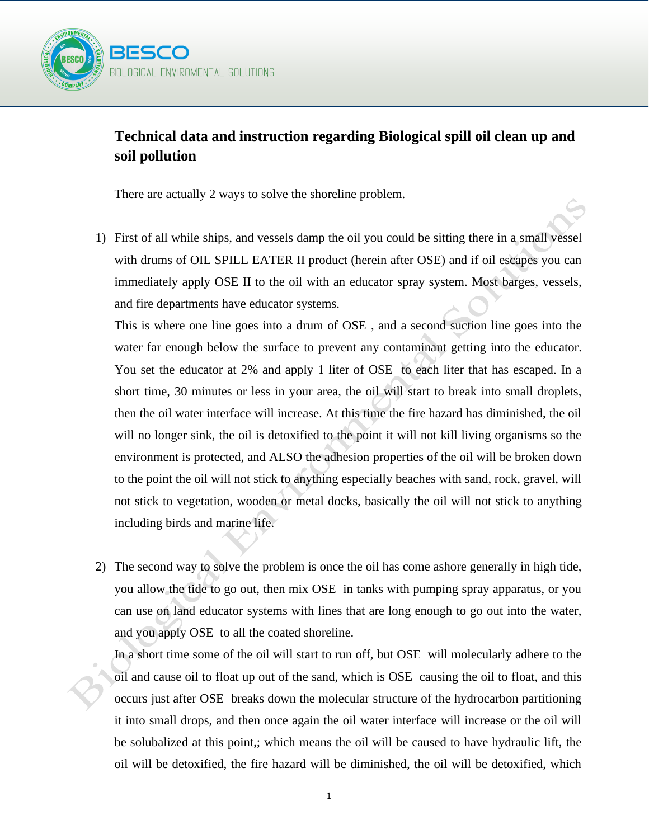

## **Technical data and instruction regarding Biological spill oil clean up and soil pollution**

There are actually 2 ways to solve the shoreline problem.

1) First of all while ships, and vessels damp the oil you could be sitting there in a small vessel with drums of OIL SPILL EATER II product (herein after OSE) and if oil escapes you can immediately apply OSE II to the oil with an educator spray system. Most barges, vessels, and fire departments have educator systems.

This is where one line goes into a drum of OSE , and a second suction line goes into the water far enough below the surface to prevent any contaminant getting into the educator. You set the educator at 2% and apply 1 liter of OSE to each liter that has escaped. In a short time, 30 minutes or less in your area, the oil will start to break into small droplets, then the oil water interface will increase. At this time the fire hazard has diminished, the oil will no longer sink, the oil is detoxified to the point it will not kill living organisms so the environment is protected, and ALSO the adhesion properties of the oil will be broken down to the point the oil will not stick to anything especially beaches with sand, rock, gravel, will not stick to vegetation, wooden or metal docks, basically the oil will not stick to anything including birds and marine life.

2) The second way to solve the problem is once the oil has come ashore generally in high tide, you allow the tide to go out, then mix OSE in tanks with pumping spray apparatus, or you can use on land educator systems with lines that are long enough to go out into the water, and you apply OSE to all the coated shoreline.

In a short time some of the oil will start to run off, but OSE will molecularly adhere to the oil and cause oil to float up out of the sand, which is OSE causing the oil to float, and this occurs just after OSE breaks down the molecular structure of the hydrocarbon partitioning it into small drops, and then once again the oil water interface will increase or the oil will be solubalized at this point,; which means the oil will be caused to have hydraulic lift, the oil will be detoxified, the fire hazard will be diminished, the oil will be detoxified, which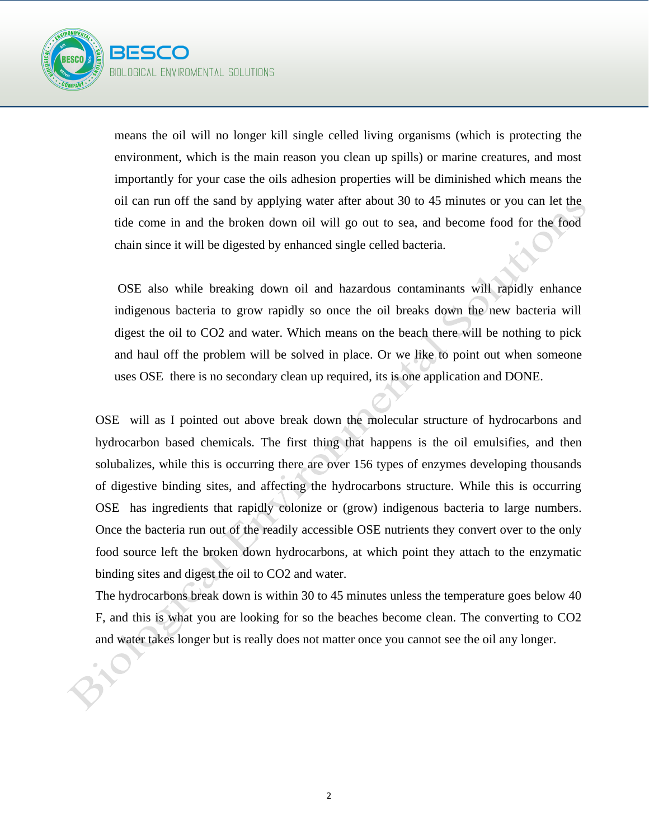

means the oil will no longer kill single celled living organisms (which is protecting the environment, which is the main reason you clean up spills) or marine creatures, and most importantly for your case the oils adhesion properties will be diminished which means the oil can run off the sand by applying water after about 30 to 45 minutes or you can let the tide come in and the broken down oil will go out to sea, and become food for the food chain since it will be digested by enhanced single celled bacteria.

OSE also while breaking down oil and hazardous contaminants will rapidly enhance indigenous bacteria to grow rapidly so once the oil breaks down the new bacteria will digest the oil to CO2 and water. Which means on the beach there will be nothing to pick and haul off the problem will be solved in place. Or we like to point out when someone uses OSE there is no secondary clean up required, its is one application and DONE.

OSE will as I pointed out above break down the molecular structure of hydrocarbons and hydrocarbon based chemicals. The first thing that happens is the oil emulsifies, and then solubalizes, while this is occurring there are over 156 types of enzymes developing thousands of digestive binding sites, and affecting the hydrocarbons structure. While this is occurring OSE has ingredients that rapidly colonize or (grow) indigenous bacteria to large numbers. Once the bacteria run out of the readily accessible OSE nutrients they convert over to the only food source left the broken down hydrocarbons, at which point they attach to the enzymatic binding sites and digest the oil to CO2 and water.

The hydrocarbons break down is within 30 to 45 minutes unless the temperature goes below 40 F, and this is what you are looking for so the beaches become clean. The converting to CO2 and water takes longer but is really does not matter once you cannot see the oil any longer.